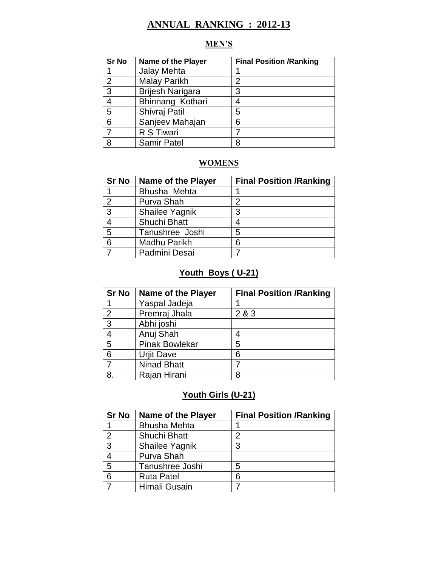# **ANNUAL RANKING : 2012-13**

# **MEN'S**

| <b>Sr No</b>   | <b>Name of the Player</b> | <b>Final Position /Ranking</b> |
|----------------|---------------------------|--------------------------------|
|                | Jalay Mehta               |                                |
| $\overline{2}$ | <b>Malay Parikh</b>       | 2                              |
| 3              | <b>Brijesh Narigara</b>   | 3                              |
| 4              | Bhinnang Kothari          | 4                              |
| 5              | Shivraj Patil             | 5                              |
| 6              | Sanjeev Mahajan           | 6                              |
| 7              | R S Tiwari                |                                |
| 8              | <b>Samir Patel</b>        | 8                              |

# **WOMENS**

| <b>Sr No</b>    | <b>Name of the Player</b> | <b>Final Position /Ranking</b> |
|-----------------|---------------------------|--------------------------------|
|                 | Bhusha Mehta              |                                |
| $\overline{2}$  | Purva Shah                | າ                              |
| $\overline{3}$  | Shailee Yagnik            | 3                              |
| $\overline{4}$  | Shuchi Bhatt              |                                |
| 5               | Tanushree Joshi           | 5                              |
| $6\phantom{1}6$ | Madhu Parikh              | 6                              |
|                 | Padmini Desai             |                                |

# **Youth Boys ( U-21)**

| <b>Sr No</b>   | <b>Name of the Player</b> | <b>Final Position /Ranking</b> |
|----------------|---------------------------|--------------------------------|
|                | Yaspal Jadeja             |                                |
| 2              | Premraj Jhala             | 2 & 3                          |
| $\overline{3}$ | Abhi joshi                |                                |
| $\overline{4}$ | Anuj Shah                 |                                |
| 5              | <b>Pinak Bowlekar</b>     | 5                              |
| 6              | <b>Urjit Dave</b>         | 6                              |
|                | <b>Ninad Bhatt</b>        |                                |
| 8.             | Rajan Hirani              | 8                              |

## **Youth Girls (U-21)**

| <b>Sr No</b>  | <b>Name of the Player</b> | <b>Final Position /Ranking</b> |
|---------------|---------------------------|--------------------------------|
|               | <b>Bhusha Mehta</b>       |                                |
| $\mathcal{P}$ | Shuchi Bhatt              |                                |
| $\mathbf{3}$  | Shailee Yagnik            | 3                              |
|               | Purva Shah                |                                |
| 5             | Tanushree Joshi           | 5                              |
| 6             | <b>Ruta Patel</b>         | 6                              |
|               | Himali Gusain             |                                |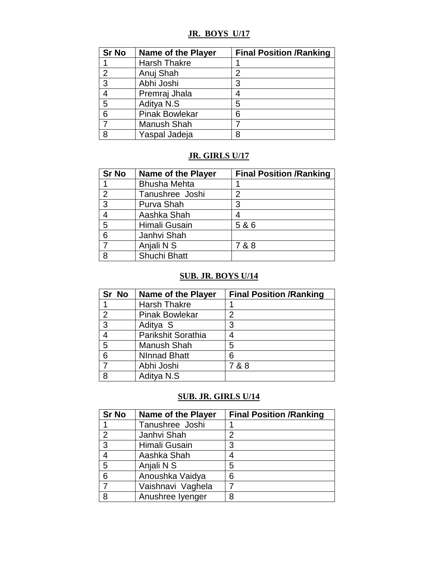## **JR. BOYS U/17**

| <b>Sr No</b>   | <b>Name of the Player</b> | <b>Final Position /Ranking</b> |
|----------------|---------------------------|--------------------------------|
|                | <b>Harsh Thakre</b>       |                                |
| $\overline{2}$ | Anuj Shah                 | 2                              |
| $\mathbf{3}$   | Abhi Joshi                | 3                              |
| $\overline{4}$ | Premraj Jhala             |                                |
| 5              | Aditya N.S.               | 5                              |
| 6              | <b>Pinak Bowlekar</b>     | 6                              |
| 7              | Manush Shah               |                                |
| 8              | Yaspal Jadeja             | 8                              |

### **JR. GIRLS U/17**

| <b>Sr No</b>   | <b>Name of the Player</b> | <b>Final Position /Ranking</b> |
|----------------|---------------------------|--------------------------------|
|                | <b>Bhusha Mehta</b>       |                                |
| $\overline{2}$ | Tanushree Joshi           | 2                              |
| $\overline{3}$ | Purva Shah                | 3                              |
| $\overline{4}$ | Aashka Shah               |                                |
| 5              | Himali Gusain             | 5 & 6                          |
| 6              | Janhvi Shah               |                                |
|                | Anjali N S                | 7 & 8                          |
| 8              | Shuchi Bhatt              |                                |

#### **SUB. JR. BOYS U/14**

| Sr No          | <b>Name of the Player</b> | <b>Final Position /Ranking</b> |
|----------------|---------------------------|--------------------------------|
|                | <b>Harsh Thakre</b>       |                                |
| $\overline{2}$ | <b>Pinak Bowlekar</b>     | 2                              |
| 3              | Aditya S                  | 3                              |
| 4              | Parikshit Sorathia        |                                |
| 5              | <b>Manush Shah</b>        | 5                              |
| 6              | <b>NInnad Bhatt</b>       | 6                              |
| $\overline{7}$ | Abhi Joshi                | 7 & 8                          |
| 8              | Aditya N.S.               |                                |

## **SUB. JR. GIRLS U/14**

| <b>Sr No</b>   | <b>Name of the Player</b> | <b>Final Position /Ranking</b> |
|----------------|---------------------------|--------------------------------|
|                | Tanushree Joshi           |                                |
| $\overline{2}$ | Janhvi Shah               | 2                              |
| 3              | Himali Gusain             | 3                              |
| $\overline{4}$ | Aashka Shah               | 4                              |
| 5              | Anjali N S                | 5                              |
| 6              | Anoushka Vaidya           | 6                              |
|                | Vaishnavi Vaghela         |                                |
| 8              | Anushree Iyenger          | 8                              |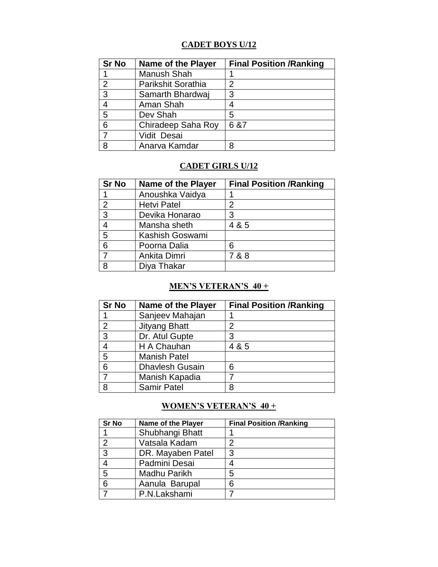# **CADET BOYS U/12**

| <b>Sr No</b>  | <b>Name of the Player</b> | <b>Final Position /Ranking</b> |
|---------------|---------------------------|--------------------------------|
|               | Manush Shah               |                                |
| $\mathcal{P}$ | Parikshit Sorathia        | 2                              |
| 3             | Samarth Bhardwaj          | 3                              |
|               | Aman Shah                 |                                |
| 5             | Dev Shah                  | 5                              |
| 6             | Chiradeep Saha Roy        | 6 & 7                          |
| 7             | Vidit Desai               |                                |
| 8             | Anarva Kamdar             | 8                              |

### **CADET GIRLS U/12**

| <b>Sr No</b>   | <b>Name of the Player</b> | <b>Final Position /Ranking</b> |
|----------------|---------------------------|--------------------------------|
|                | Anoushka Vaidya           |                                |
| $\overline{2}$ | <b>Hetvi Patel</b>        | 2                              |
| $\overline{3}$ | Devika Honarao            | 3                              |
| $\overline{4}$ | Mansha sheth              | 4 & 5                          |
| $\overline{5}$ | Kashish Goswami           |                                |
| 6              | Poorna Dalia              | 6                              |
|                | Ankita Dimri              | 7 & 8                          |
| 8              | Diya Thakar               |                                |

## **MEN'S VETERAN'S 40 +**

| <b>Sr No</b>   | <b>Name of the Player</b> | <b>Final Position /Ranking</b> |
|----------------|---------------------------|--------------------------------|
|                | Sanjeev Mahajan           |                                |
| $\overline{2}$ | <b>Jityang Bhatt</b>      | 2                              |
| 3              | Dr. Atul Gupte            | 3                              |
| $\overline{4}$ | H A Chauhan               | 4 & 5                          |
| 5              | <b>Manish Patel</b>       |                                |
| 6              | <b>Dhavlesh Gusain</b>    | 6                              |
|                | Manish Kapadia            |                                |
| 8              | <b>Samir Patel</b>        | 8                              |

#### **WOMEN'S VETERAN'S 40 +**

| <b>Sr No</b>   | Name of the Player | <b>Final Position /Ranking</b> |
|----------------|--------------------|--------------------------------|
|                | Shubhangi Bhatt    |                                |
| $\overline{2}$ | Vatsala Kadam      | 2                              |
| 3              | DR. Mayaben Patel  | 3                              |
| 4              | Padmini Desai      |                                |
| 5              | Madhu Parikh       | 5                              |
| 6              | Aanula Barupal     | 6                              |
|                | P.N.Lakshami       |                                |